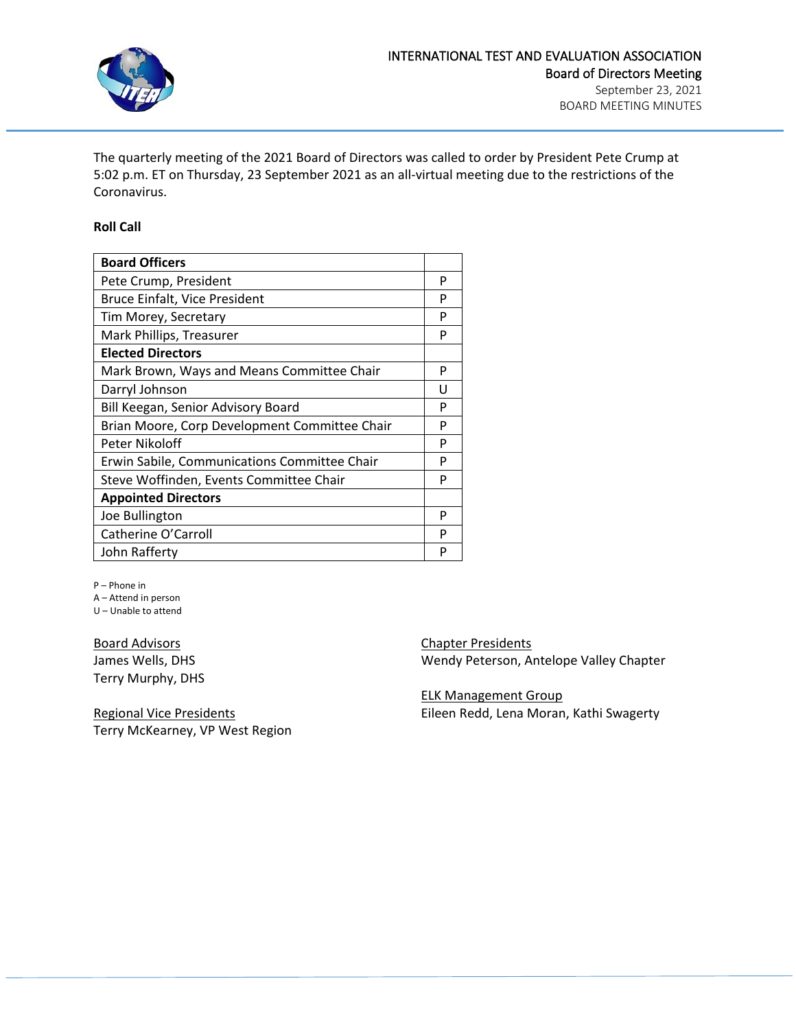

The quarterly meeting of the 2021 Board of Directors was called to order by President Pete Crump at 5:02 p.m. ET on Thursday, 23 September 2021 as an all-virtual meeting due to the restrictions of the Coronavirus.

#### **Roll Call**

| <b>Board Officers</b>                         |   |
|-----------------------------------------------|---|
| Pete Crump, President                         | P |
| Bruce Einfalt, Vice President                 | P |
| Tim Morey, Secretary                          | P |
| Mark Phillips, Treasurer                      | P |
| <b>Elected Directors</b>                      |   |
| Mark Brown, Ways and Means Committee Chair    | P |
| Darryl Johnson                                | п |
| Bill Keegan, Senior Advisory Board            | Р |
| Brian Moore, Corp Development Committee Chair | P |
| Peter Nikoloff                                | P |
| Erwin Sabile, Communications Committee Chair  | P |
| Steve Woffinden, Events Committee Chair       | P |
| <b>Appointed Directors</b>                    |   |
| Joe Bullington                                | P |
| Catherine O'Carroll                           | P |
| John Rafferty                                 | Р |

P – Phone in

A – Attend in person U – Unable to attend

Board Advisors James Wells, DHS Terry Murphy, DHS

Regional Vice Presidents Terry McKearney, VP West Region Chapter Presidents Wendy Peterson, Antelope Valley Chapter

ELK Management Group Eileen Redd, Lena Moran, Kathi Swagerty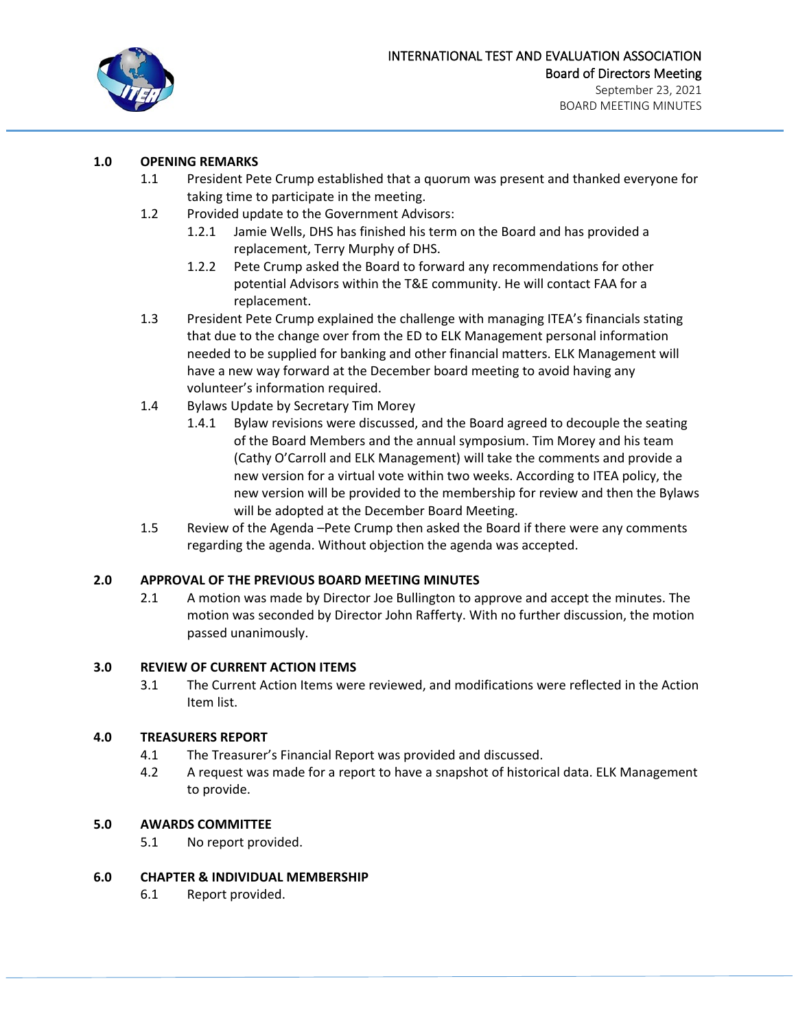

# **1.0 OPENING REMARKS**

- 1.1 President Pete Crump established that a quorum was present and thanked everyone for taking time to participate in the meeting.
- 1.2 Provided update to the Government Advisors:
	- 1.2.1 Jamie Wells, DHS has finished his term on the Board and has provided a replacement, Terry Murphy of DHS.
	- 1.2.2 Pete Crump asked the Board to forward any recommendations for other potential Advisors within the T&E community. He will contact FAA for a replacement.
- 1.3 President Pete Crump explained the challenge with managing ITEA's financials stating that due to the change over from the ED to ELK Management personal information needed to be supplied for banking and other financial matters. ELK Management will have a new way forward at the December board meeting to avoid having any volunteer's information required.
- 1.4 Bylaws Update by Secretary Tim Morey
	- 1.4.1 Bylaw revisions were discussed, and the Board agreed to decouple the seating of the Board Members and the annual symposium. Tim Morey and his team (Cathy O'Carroll and ELK Management) will take the comments and provide a new version for a virtual vote within two weeks. According to ITEA policy, the new version will be provided to the membership for review and then the Bylaws will be adopted at the December Board Meeting.
- 1.5 Review of the Agenda –Pete Crump then asked the Board if there were any comments regarding the agenda. Without objection the agenda was accepted.

# **2.0 APPROVAL OF THE PREVIOUS BOARD MEETING MINUTES**

2.1 A motion was made by Director Joe Bullington to approve and accept the minutes. The motion was seconded by Director John Rafferty. With no further discussion, the motion passed unanimously.

# **3.0 REVIEW OF CURRENT ACTION ITEMS**

3.1 The Current Action Items were reviewed, and modifications were reflected in the Action Item list.

# **4.0 TREASURERS REPORT**

- 4.1 The Treasurer's Financial Report was provided and discussed.
- 4.2 A request was made for a report to have a snapshot of historical data. ELK Management to provide.

# **5.0 AWARDS COMMITTEE**

5.1 No report provided.

# **6.0 CHAPTER & INDIVIDUAL MEMBERSHIP**

6.1 Report provided.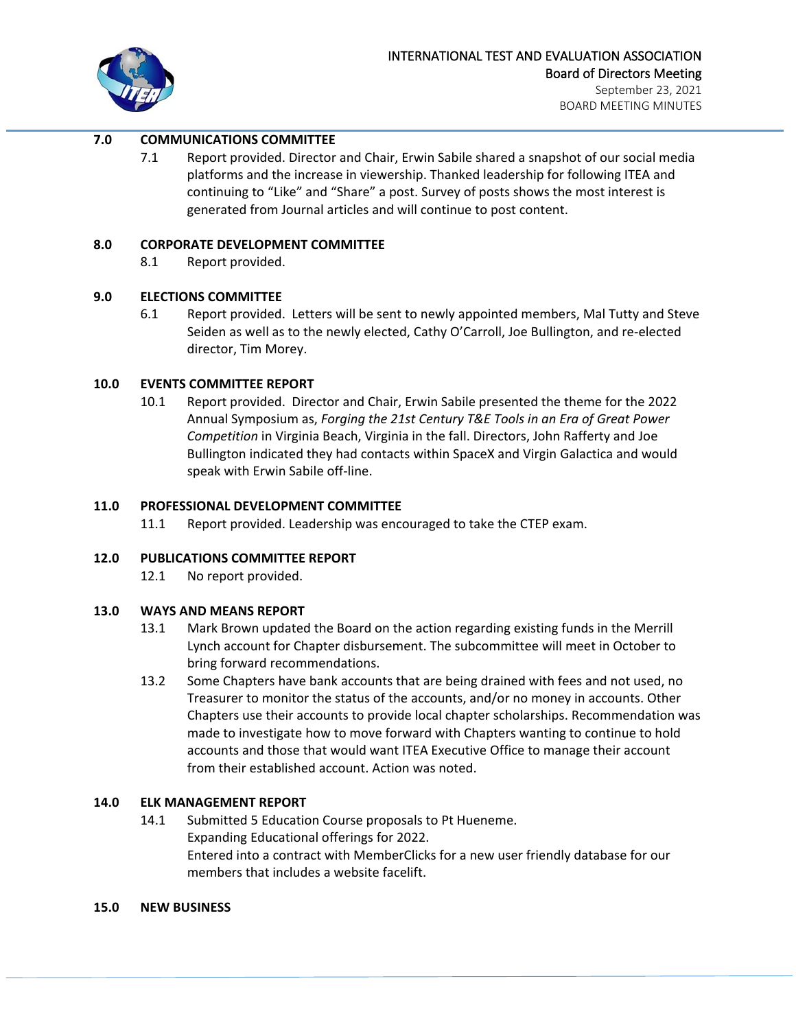

# **7.0 COMMUNICATIONS COMMITTEE**

7.1 Report provided. Director and Chair, Erwin Sabile shared a snapshot of our social media platforms and the increase in viewership. Thanked leadership for following ITEA and continuing to "Like" and "Share" a post. Survey of posts shows the most interest is generated from Journal articles and will continue to post content.

#### **8.0 CORPORATE DEVELOPMENT COMMITTEE**

8.1 Report provided.

# **9.0 ELECTIONS COMMITTEE**

6.1 Report provided. Letters will be sent to newly appointed members, Mal Tutty and Steve Seiden as well as to the newly elected, Cathy O'Carroll, Joe Bullington, and re-elected director, Tim Morey.

# **10.0 EVENTS COMMITTEE REPORT**

10.1 Report provided. Director and Chair, Erwin Sabile presented the theme for the 2022 Annual Symposium as, *Forging the 21st Century T&E Tools in an Era of Great Power Competition* in Virginia Beach, Virginia in the fall. Directors, John Rafferty and Joe Bullington indicated they had contacts within SpaceX and Virgin Galactica and would speak with Erwin Sabile off-line.

#### **11.0 PROFESSIONAL DEVELOPMENT COMMITTEE**

11.1 Report provided. Leadership was encouraged to take the CTEP exam.

# **12.0 PUBLICATIONS COMMITTEE REPORT**

12.1 No report provided.

# **13.0 WAYS AND MEANS REPORT**

- 13.1 Mark Brown updated the Board on the action regarding existing funds in the Merrill Lynch account for Chapter disbursement. The subcommittee will meet in October to bring forward recommendations.
- 13.2 Some Chapters have bank accounts that are being drained with fees and not used, no Treasurer to monitor the status of the accounts, and/or no money in accounts. Other Chapters use their accounts to provide local chapter scholarships. Recommendation was made to investigate how to move forward with Chapters wanting to continue to hold accounts and those that would want ITEA Executive Office to manage their account from their established account. Action was noted.

# **14.0 ELK MANAGEMENT REPORT**

14.1 Submitted 5 Education Course proposals to Pt Hueneme. Expanding Educational offerings for 2022. Entered into a contract with MemberClicks for a new user friendly database for our members that includes a website facelift.

#### **15.0 NEW BUSINESS**